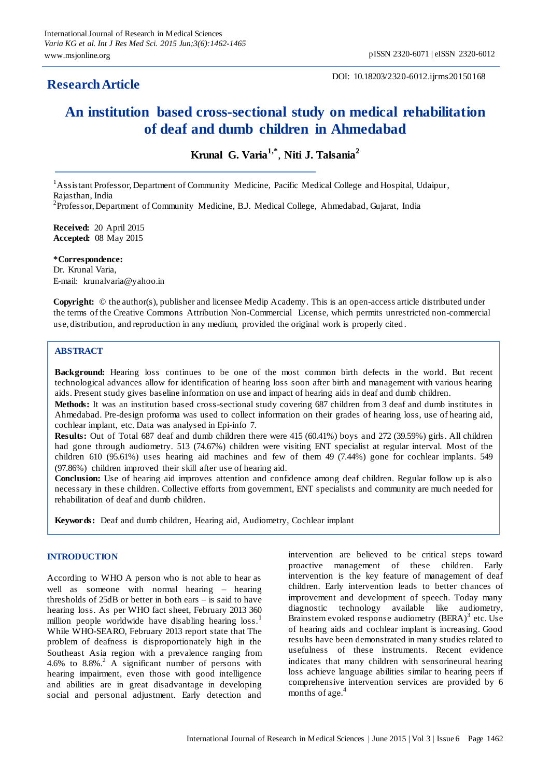# **ResearchArticle**

DOI: 10.18203/2320-6012.ijrms20150168

# **An institution based cross-sectional study on medical rehabilitation of deaf and dumb children in Ahmedabad**

**Krunal G. Varia1,\*** , **Niti J. Talsania<sup>2</sup>**

<sup>1</sup> Assistant Professor, Department of Community Medicine, Pacific Medical College and Hospital, Udaipur, Rajasthan, India

<sup>2</sup>Professor, Department of Community Medicine, B.J. Medical College, Ahmedabad, Gujarat, India

**Received:** 20 April 2015 **Accepted:** 08 May 2015

**\*Correspondence:** Dr. Krunal Varia, E-mail: krunalvaria@yahoo.in

**Copyright:** © the author(s), publisher and licensee Medip Academy. This is an open-access article distributed under the terms of the Creative Commons Attribution Non-Commercial License, which permits unrestricted non-commercial use, distribution, and reproduction in any medium, provided the original work is properly cited .

# **ABSTRACT**

**Background:** Hearing loss continues to be one of the most common birth defects in the world. But recent technological advances allow for identification of hearing loss soon after birth and management with various hearing aids. Present study gives baseline information on use and impact of hearing aids in deaf and dumb children.

**Methods:** It was an institution based cross-sectional study covering 687 children from 3 deaf and dumb institutes in Ahmedabad. Pre-design proforma was used to collect information on their grades of hearing loss, use of hearing aid, cochlear implant, etc. Data was analysed in Epi-info 7.

**Results:** Out of Total 687 deaf and dumb children there were 415 (60.41%) boys and 272 (39.59%) girls. All children had gone through audiometry. 513 (74.67%) children were visiting ENT specialist at regular interval. Most of the children 610 (95.61%) uses hearing aid machines and few of them 49 (7.44%) gone for cochlear implants. 549 (97.86%) children improved their skill after use of hearing aid.

**Conclusion:** Use of hearing aid improves attention and confidence among deaf children. Regular follow up is also necessary in these children. Collective efforts from government, ENT specialists and community are much needed for rehabilitation of deaf and dumb children.

**Keywords:** Deaf and dumb children, Hearing aid, Audiometry, Cochlear implant

#### **INTRODUCTION**

According to WHO A person who is not able to hear as well as someone with normal hearing – hearing thresholds of 25dB or better in both ears – is said to have hearing loss. As per WHO fact sheet, February 2013 360 million people worldwide have disabling hearing loss.<sup>1</sup> While WHO-SEARO, February 2013 report state that The problem of deafness is disproportionately high in the Southeast Asia region with a prevalence ranging from 4.6% to  $8.8\%$ .<sup>2</sup> A significant number of persons with hearing impairment, even those with good intelligence and abilities are in great disadvantage in developing social and personal adjustment. Early detection and intervention are believed to be critical steps toward proactive management of these children. Early intervention is the key feature of management of deaf children. Early intervention leads to better chances of improvement and development of speech. Today many diagnostic technology available like audiometry, Brainstem evoked response audiometry (BERA)<sup>3</sup> etc. Use of hearing aids and cochlear implant is increasing. Good results have been demonstrated in many studies related to usefulness of these instruments. Recent evidence indicates that many children with sensorineural hearing loss achieve language abilities similar to hearing peers if comprehensive intervention services are provided by 6 months of age.<sup>4</sup>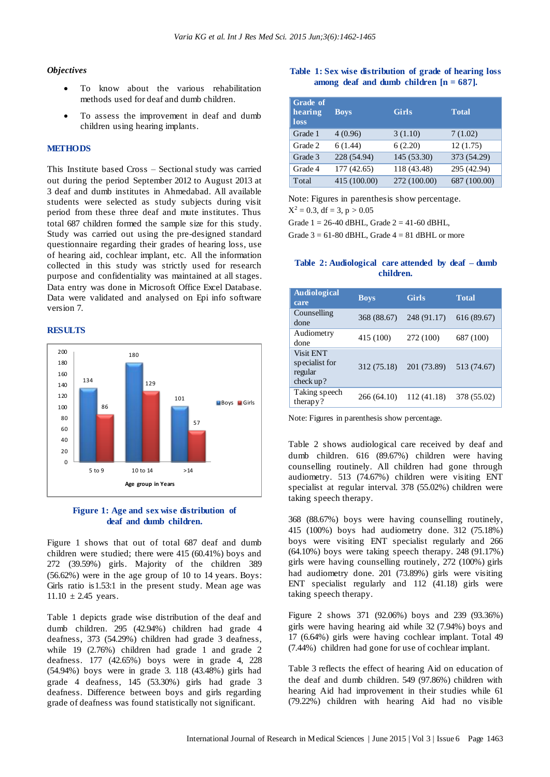#### *Objectives*

- To know about the various rehabilitation methods used for deaf and dumb children.
- To assess the improvement in deaf and dumb children using hearing implants.

# **METHODS**

This Institute based Cross – Sectional study was carried out during the period September 2012 to August 2013 at 3 deaf and dumb institutes in Ahmedabad. All available students were selected as study subjects during visit period from these three deaf and mute institutes. Thus total 687 children formed the sample size for this study. Study was carried out using the pre-designed standard questionnaire regarding their grades of hearing loss, use of hearing aid, cochlear implant, etc. All the information collected in this study was strictly used for research purpose and confidentiality was maintained at all stages. Data entry was done in Microsoft Office Excel Database. Data were validated and analysed on Epi info software version 7.

## **RESULTS**





Figure 1 shows that out of total 687 deaf and dumb children were studied; there were 415 (60.41%) boys and 272 (39.59%) girls. Majority of the children 389 (56.62%) were in the age group of 10 to 14 years. Boys: Girls ratio is1.53:1 in the present study. Mean age was  $11.10 \pm 2.45$  years.

Table 1 depicts grade wise distribution of the deaf and dumb children. 295 (42.94%) children had grade 4 deafness, 373 (54.29%) children had grade 3 deafness, while 19 (2.76%) children had grade 1 and grade 2 deafness. 177 (42.65%) boys were in grade 4, 228 (54.94%) boys were in grade 3. 118 (43.48%) girls had grade 4 deafness, 145 (53.30%) girls had grade 3 deafness. Difference between boys and girls regarding grade of deafness was found statistically not significant.

#### **Table 1: Sex wise distribution of grade of hearing loss among deaf and dumb children [n = 687].**

| Grade of<br>hearing<br>loss | <b>Boys</b>  | <b>Girls</b> | <b>Total</b> |
|-----------------------------|--------------|--------------|--------------|
| Grade 1                     | 4(0.96)      | 3(1.10)      | 7(1.02)      |
| Grade 2                     | 6(1.44)      | 6(2.20)      | 12(1.75)     |
| Grade 3                     | 228 (54.94)  | 145 (53.30)  | 373 (54.29)  |
| Grade 4                     | 177(42.65)   | 118 (43.48)  | 295 (42.94)  |
| Total                       | 415 (100.00) | 272 (100.00) | 687 (100.00) |

Note: Figures in parenthesis show percentage.

 $X^2 = 0.3$ , df = 3, p > 0.05

Grade  $1 = 26-40$  dBHL, Grade  $2 = 41-60$  dBHL,

Grade  $3 = 61-80$  dBHL, Grade  $4 = 81$  dBHL or more

## **Table 2: Audiological care attended by deaf – dumb children.**

| <b>Audiological</b><br>care                                | <b>Boys</b> | <b>Girls</b> | <b>Total</b> |
|------------------------------------------------------------|-------------|--------------|--------------|
| Counselling<br>done                                        | 368 (88.67) | 248 (91.17)  | 616 (89.67)  |
| Audiometry<br>done                                         | 415 (100)   | 272 (100)    | 687 (100)    |
| <b>Visit ENT</b><br>specialist for<br>regular<br>check up? | 312 (75.18) | 201 (73.89)  | 513 (74.67)  |
| Taking speech<br>therapy?                                  | 266 (64.10) | 112 (41.18)  | 378 (55.02)  |

Note: Figures in parenthesis show percentage.

Table 2 shows audiological care received by deaf and dumb children. 616 (89.67%) children were having counselling routinely. All children had gone through audiometry. 513 (74.67%) children were visiting ENT specialist at regular interval. 378 (55.02%) children were taking speech therapy.

368 (88.67%) boys were having counselling routinely, 415 (100%) boys had audiometry done. 312 (75.18%) boys were visiting ENT specialist regularly and 266 (64.10%) boys were taking speech therapy. 248 (91.17%) girls were having counselling routinely, 272 (100%) girls had audiometry done. 201 (73.89%) girls were visiting ENT specialist regularly and 112 (41.18) girls were taking speech therapy.

Figure 2 shows 371 (92.06%) boys and 239 (93.36%) girls were having hearing aid while 32 (7.94%) boys and 17 (6.64%) girls were having cochlear implant. Total 49 (7.44%) children had gone for use of cochlear implant.

Table 3 reflects the effect of hearing Aid on education of the deaf and dumb children. 549 (97.86%) children with hearing Aid had improvement in their studies while 61 (79.22%) children with hearing Aid had no visible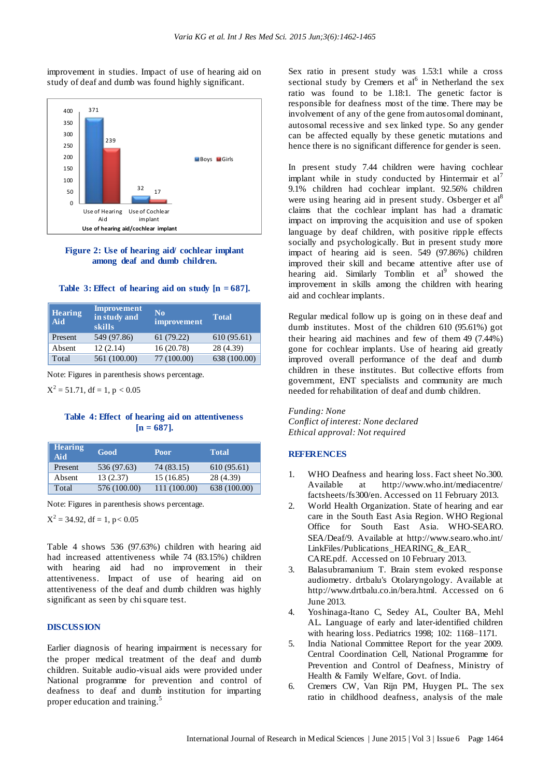improvement in studies. Impact of use of hearing aid on study of deaf and dumb was found highly significant.



**Figure 2: Use of hearing aid/ cochlear implant among deaf and dumb children.**

|  |  | Table 3: Effect of hearing aid on study $[n = 687]$ . |  |  |  |
|--|--|-------------------------------------------------------|--|--|--|
|--|--|-------------------------------------------------------|--|--|--|

| <b>Hearing</b><br>Aid | <b>Improvement</b><br>in study and<br>skills | $\bf No$<br>improvement | <b>Total</b> |
|-----------------------|----------------------------------------------|-------------------------|--------------|
| Present               | 549 (97.86)                                  | 61(79.22)               | 610 (95.61)  |
| Absent                | 12(2.14)                                     | 16(20.78)               | 28 (4.39)    |
| Total                 | 561 (100.00)                                 | 77 (100.00)             | 638 (100.00) |

Note: Figures in parenthesis shows percentage.

 $X^2 = 51.71$ , df = 1, p < 0.05

# **Table 4: Effect of hearing aid on attentiveness [n = 687].**

| Hearing<br>Aid | Good         | <b>Poor</b>  | Total        |
|----------------|--------------|--------------|--------------|
| Present        | 536 (97.63)  | 74 (83.15)   | 610(95.61)   |
| Absent         | 13(2.37)     | 15(16.85)    | 28 (4.39)    |
| Total          | 576 (100.00) | 111 (100.00) | 638 (100.00) |

Note: Figures in parenthesis shows percentage.

 $X^2 = 34.92$ , df = 1, p < 0.05

Table 4 shows 536 (97.63%) children with hearing aid had increased attentiveness while 74 (83.15%) children with hearing aid had no improvement in their attentiveness. Impact of use of hearing aid on attentiveness of the deaf and dumb children was highly significant as seen by chi square test.

#### **DISCUSSION**

Earlier diagnosis of hearing impairment is necessary for the proper medical treatment of the deaf and dumb children. Suitable audio-visual aids were provided under National programme for prevention and control of deafness to deaf and dumb institution for imparting proper education and training.<sup>5</sup>

Sex ratio in present study was 1.53:1 while a cross sectional study by Cremers et  $al<sup>6</sup>$  in Netherland the sex ratio was found to be 1.18:1. The genetic factor is responsible for deafness most of the time. There may be involvement of any of the gene from autosomal dominant, autosomal recessive and sex linked type. So any gender can be affected equally by these genetic mutations and hence there is no significant difference for gender is seen.

In present study 7.44 children were having cochlear implant while in study conducted by Hintermair et  $al<sup>7</sup>$ 9.1% children had cochlear implant. 92.56% children were using hearing aid in present study. Osberger et al<sup>8</sup> claims that the cochlear implant has had a dramatic impact on improving the acquisition and use of spoken language by deaf children, with positive ripple effects socially and psychologically. But in present study more impact of hearing aid is seen. 549 (97.86%) children improved their skill and became attentive after use of hearing aid. Similarly Tomblin et al<sup>9</sup> showed the improvement in skills among the children with hearing aid and cochlear implants.

Regular medical follow up is going on in these deaf and dumb institutes. Most of the children 610 (95.61%) got their hearing aid machines and few of them 49 (7.44%) gone for cochlear implants. Use of hearing aid greatly improved overall performance of the deaf and dumb children in these institutes. But collective efforts from government, ENT specialists and community are much needed for rehabilitation of deaf and dumb children.

*Funding: None Conflict of interest: None declared Ethical approval: Not required*

#### **REFERENCES**

- 1. WHO Deafness and hearing loss. Fact sheet No.300. Available at http://www.who.int/mediacentre/ factsheets/fs300/en. Accessed on 11 February 2013.
- 2. World Health Organization. State of hearing and ear care in the South East Asia Region. WHO Regional Office for South East Asia. WHO-SEARO. SEA/Deaf/9. Available at http://www.searo.who.int/ LinkFiles/Publications\_HEARING\_&\_EAR\_ CARE.pdf. Accessed on 10 February 2013.
- 3. Balasubramanium T. Brain stem evoked response audiometry. drtbalu's Otolaryngology. Available at [http://www.drtbalu.co.in/bera.html.](http://www.drtbalu.co.in/bera.html) Accessed on 6 June 2013.
- 4. Yoshinaga-Itano C, Sedey AL, Coulter BA, Mehl AL. Language of early and later-identified children with hearing loss. Pediatrics 1998; 102: 1168–1171.
- 5. India National Committee Report for the year 2009. Central Coordination Cell, National Programme for Prevention and Control of Deafness, Ministry of Health & Family Welfare, Govt. of India.
- 6. Cremers CW, Van Rijn PM, Huygen PL. The sex ratio in childhood deafness, analysis of the male